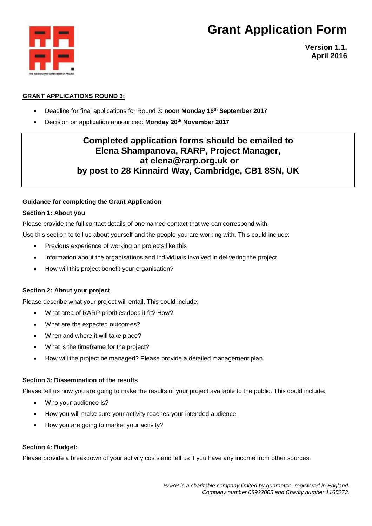

**Version 1.1. April 2016**

### **GRANT APPLICATIONS ROUND 3:**

- Deadline for final applications for Round 3: **noon Monday 18th September 2017**
- Decision on application announced: **Monday 20 th November 2017**

### **Completed application forms should be emailed to Elena Shampanova, RARP, Project Manager, at elena@rarp.org.uk or by post to 28 Kinnaird Way, Cambridge, CB1 8SN, UK**

### **Guidance for completing the Grant Application**

### **Section 1: About you**

Please provide the full contact details of one named contact that we can correspond with.

Use this section to tell us about yourself and the people you are working with. This could include:

- Previous experience of working on projects like this
- Information about the organisations and individuals involved in delivering the project
- How will this project benefit your organisation?

### **Section 2: About your project**

Please describe what your project will entail. This could include:

- What area of RARP priorities does it fit? How?
- What are the expected outcomes?
- When and where it will take place?
- What is the timeframe for the project?
- How will the project be managed? Please provide a detailed management plan.

### **Section 3: Dissemination of the results**

Please tell us how you are going to make the results of your project available to the public. This could include:

- Who your audience is?
- How you will make sure your activity reaches your intended audience.
- How you are going to market your activity?

#### **Section 4: Budget:**

Please provide a breakdown of your activity costs and tell us if you have any income from other sources.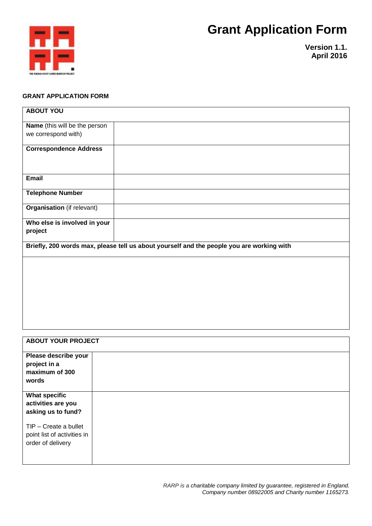

**Version 1.1. April 2016**

### **GRANT APPLICATION FORM**

| <b>ABOUT YOU</b>                  |                                                                                           |
|-----------------------------------|-------------------------------------------------------------------------------------------|
| Name (this will be the person     |                                                                                           |
| we correspond with)               |                                                                                           |
| <b>Correspondence Address</b>     |                                                                                           |
|                                   |                                                                                           |
|                                   |                                                                                           |
| <b>Email</b>                      |                                                                                           |
| <b>Telephone Number</b>           |                                                                                           |
| <b>Organisation</b> (if relevant) |                                                                                           |
| Who else is involved in your      |                                                                                           |
| project                           |                                                                                           |
|                                   | Briefly, 200 words max, please tell us about yourself and the people you are working with |
|                                   |                                                                                           |
|                                   |                                                                                           |
|                                   |                                                                                           |
|                                   |                                                                                           |
|                                   |                                                                                           |
|                                   |                                                                                           |
|                                   |                                                                                           |
|                                   |                                                                                           |
|                                   |                                                                                           |
| <b>ABOUT YOUR PROJECT</b>         |                                                                                           |
| Please describe your              |                                                                                           |
| project in a                      |                                                                                           |
| maximum of 300                    |                                                                                           |
| words                             |                                                                                           |
| <b>What specific</b>              |                                                                                           |
| activities are you                |                                                                                           |
| asking us to fund?                |                                                                                           |
| TIP - Create a bullet             |                                                                                           |
| point list of activities in       |                                                                                           |
| order of delivery                 |                                                                                           |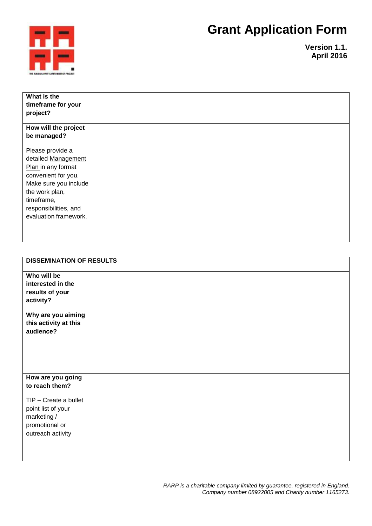

**Version 1.1. April 2016**

| What is the           |  |
|-----------------------|--|
| timeframe for your    |  |
|                       |  |
| project?              |  |
|                       |  |
| How will the project  |  |
| be managed?           |  |
|                       |  |
| Please provide a      |  |
| detailed Management   |  |
| Plan in any format    |  |
| convenient for you.   |  |
| Make sure you include |  |
| the work plan,        |  |
| timeframe,            |  |
| responsibilities, and |  |
| evaluation framework. |  |
|                       |  |
|                       |  |
|                       |  |
|                       |  |

| <b>DISSEMINATION OF RESULTS</b>                                                                                                          |  |  |
|------------------------------------------------------------------------------------------------------------------------------------------|--|--|
| Who will be<br>interested in the<br>results of your<br>activity?<br>Why are you aiming<br>this activity at this<br>audience?             |  |  |
| How are you going<br>to reach them?<br>TIP - Create a bullet<br>point list of your<br>marketing /<br>promotional or<br>outreach activity |  |  |